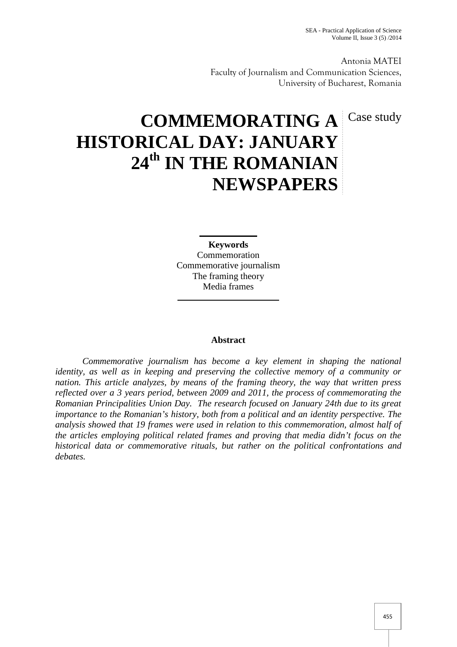Antonia MATEI Faculty of Journalism and Communication Sciences, University of Bucharest, Romania

# **COMMEMORATING A** Case study **HISTORICAL DAY: JANUARY 24th IN THE ROMANIAN NEWSPAPERS**

**Keywords** Commemoration Commemorative journalism The framing theory Media frames

### **Abstract**

*Commemorative journalism has become a key element in shaping the national identity, as well as in keeping and preserving the collective memory of a community or nation. This article analyzes, by means of the framing theory, the way that written press reflected over a 3 years period, between 2009 and 2011, the process of commemorating the Romanian Principalities Union Day. The research focused on January 24th due to its great importance to the Romanian's history, both from a political and an identity perspective. The analysis showed that 19 frames were used in relation to this commemoration, almost half of the articles employing political related frames and proving that media didn't focus on the historical data or commemorative rituals, but rather on the political confrontations and debates.*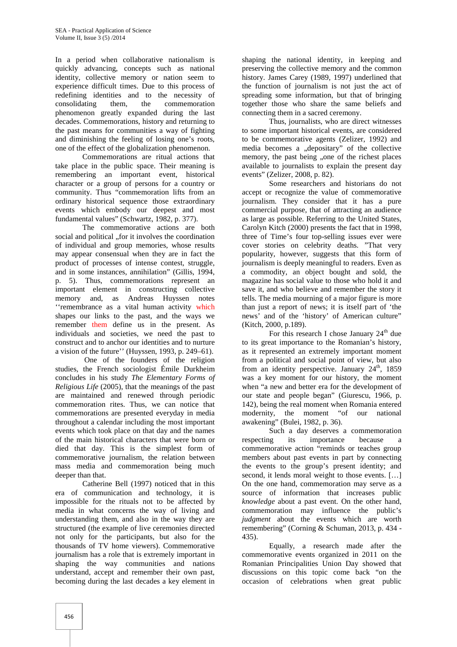In a period when collaborative nationalism is quickly advancing, concepts such as national identity, collective memory or nation seem to experience difficult times. Due to this process of redefining identities and to the necessity of consolidating them, the commemoration phenomenon greatly expanded during the last decades. Commemorations, history and returning to the past means for communities a way of fighting and diminishing the feeling of losing one's roots, one of the effect of the globalization phenomenon.

Commemorations are ritual actions that take place in the public space. Their meaning is remembering an important event, historical character or a group of persons for a country or community. Thus "commemoration lifts from an ordinary historical sequence those extraordinary events which embody our deepest and most fundamental values" (Schwartz, 1982, p. 377).

The commemorative actions are both social and political ., for it involves the coordination of individual and group memories, whose results may appear consensual when they are in fact the product of processes of intense contest, struggle, and in some instances, annihilation" (Gillis, 1994, p. 5). Thus, commemorations represent an important element in constructing collective memory and, as Andreas Huyssen notes ''remembrance as a vital human activity which shapes our links to the past, and the ways we remember them define us in the present. As individuals and societies, we need the past to construct and to anchor our identities and to nurture a vision of the future'' (Huyssen, 1993, p. 249–61).

One of the founders of the religion studies, the French sociologist Émile Durkheim concludes in his study *The Elementary Forms of Religious Life* (2005), that the meanings of the past are maintained and renewed through periodic commemoration rites. Thus, we can notice that commemorations are presented everyday in media throughout a calendar including the most important events which took place on that day and the names of the main historical characters that were born or died that day. This is the simplest form of commemorative journalism, the relation between mass media and commemoration being much deeper than that.

Catherine Bell (1997) noticed that in this era of communication and technology, it is impossible for the rituals not to be affected by media in what concerns the way of living and understanding them, and also in the way they are structured (the example of live ceremonies directed not only for the participants, but also for the thousands of TV home viewers). Commemorative journalism has a role that is extremely important in shaping the way communities and nations understand, accept and remember their own past, becoming during the last decades a key element in

shaping the national identity, in keeping and preserving the collective memory and the common history. James Carey (1989, 1997) underlined that the function of journalism is not just the act of spreading some information, but that of bringing together those who share the same beliefs and connecting them in a sacred ceremony.

Thus, journalists, who are direct witnesses to some important historical events, are considered to be commemorative agents (Zelizer, 1992) and media becomes a "depositary" of the collective memory, the past being "one of the richest places available to journalists to explain the present day events" (Zelizer, 2008, p. 82).

Some researchers and historians do not accept or recognize the value of commemorative journalism. They consider that it has a pure commercial purpose, that of attracting an audience as large as possible. Referring to the United States, Carolyn Kitch (2000) presents the fact that in 1998, three of Time's four top-selling issues ever were cover stories on celebrity deaths. "That very popularity, however, suggests that this form of journalism is deeply meaningful to readers. Even as a commodity, an object bought and sold, the magazine has social value to those who hold it and save it, and who believe and remember the story it tells. The media mourning of a major figure is more than just a report of news; it is itself part of 'the news' and of the 'history' of American culture" (Kitch, 2000, p.189).

For this research I chose January  $24<sup>th</sup>$  due to its great importance to the Romanian's history, as it represented an extremely important moment from a political and social point of view, but also from an identity perspective. January  $24<sup>th</sup>$ , 1859 was a key moment for our history, the moment when "a new and better era for the development of our state and people began" (Giurescu, 1966, p. 142), being the real moment when Romania entered modernity, the moment "of our national awakening" (Bulei, 1982, p. 36).

Such a day deserves a commemoration respecting its importance because a commemorative action "reminds or teaches group members about past events in part by connecting the events to the group's present identity; and second, it lends moral weight to those events. […] On the one hand, commemoration may serve as a source of information that increases public *knowledge* about a past event. On the other hand, commemoration may influence the public's *judgment* about the events which are worth remembering" (Corning & Schuman, 2013, p. 434 - 435).

Equally, a research made after the commemorative events organized in 2011 on the Romanian Principalities Union Day showed that discussions on this topic come back "on the occasion of celebrations when great public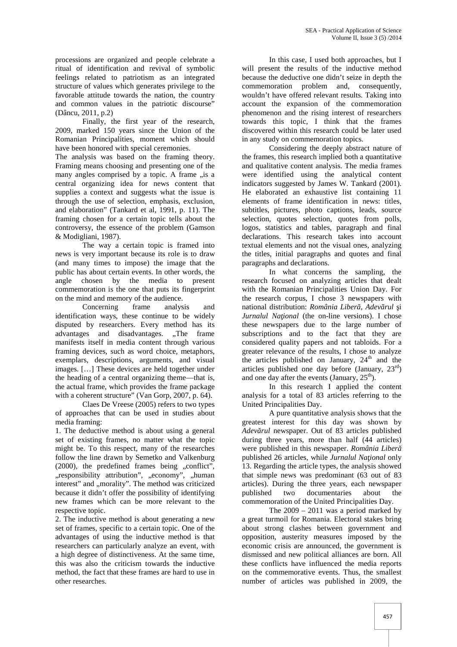processions are organized and people celebrate a ritual of identification and revival of symbolic feelings related to patriotism as an integrated structure of values which generates privilege to the favorable attitude towards the nation, the country and common values in the patriotic discourse" (Dâncu, 2011, p.2)

Finally, the first year of the research, 2009, marked 150 years since the Union of the Romanian Principalities, moment which should have been honored with special ceremonies.

The analysis was based on the framing theory. Framing means choosing and presenting one of the many angles comprised by a topic. A frame ..is a central organizing idea for news content that supplies a context and suggests what the issue is through the use of selection, emphasis, exclusion, and elaboration" (Tankard et al, 1991, p. 11). The framing chosen for a certain topic tells about the controversy, the essence of the problem (Gamson & Modigliani, 1987).

The way a certain topic is framed into news is very important because its role is to draw (and many times to impose) the image that the public has about certain events. In other words, the angle chosen by the media to present commemoration is the one that puts its fingerprint on the mind and memory of the audience.<br>Concerning frame analysis

Concerning frame analysis and identification ways, these continue to be widely disputed by researchers. Every method has its advantages and disadvantages. "The frame manifests itself in media content through various framing devices, such as word choice, metaphors, exemplars, descriptions, arguments, and visual images. […] These devices are held together under the heading of a central organizing theme—that is, the actual frame, which provides the frame package with a coherent structure" (Van Gorp, 2007, p. 64).

Claes De Vreese (2005) refers to two types of approaches that can be used in studies about media framing:

1. The deductive method is about using a general set of existing frames, no matter what the topic might be. To this respect, many of the researches follow the line drawn by Semetko and Valkenburg (2000), the predefined frames being "conflict", "responsibility attribution", "economy", "human interest" and "morality". The method was criticized because it didn't offer the possibility of identifying new frames which can be more relevant to the respective topic.

2. The inductive method is about generating a new set of frames, specific to a certain topic. One of the advantages of using the inductive method is that researchers can particularly analyze an event, with a high degree of distinctiveness. At the same time, this was also the criticism towards the inductive method, the fact that these frames are hard to use in other researches.

In this case, I used both approaches, but I will present the results of the inductive method because the deductive one didn't seize in depth the commemoration problem and, consequently, wouldn't have offered relevant results. Taking into account the expansion of the commemoration phenomenon and the rising interest of researchers towards this topic, I think that the frames discovered within this research could be later used in any study on commemoration topics.

Considering the deeply abstract nature of the frames, this research implied both a quantitative and qualitative content analysis. The media frames were identified using the analytical content indicators suggested by James W. Tankard (2001). He elaborated an exhaustive list containing 11 elements of frame identification in news: titles, subtitles, pictures, photo captions, leads, source selection, quotes selection, quotes from polls, logos, statistics and tables, paragraph and final declarations. This research takes into account textual elements and not the visual ones, analyzing the titles, initial paragraphs and quotes and final paragraphs and declarations.

In what concerns the sampling, the research focused on analyzing articles that dealt with the Romanian Principalities Union Day. For the research corpus, I chose 3 newspapers with national distribution: *România Liber*, *Adev rul* i *Jurnalul Na ional* (the on-line versions). I chose these newspapers due to the large number of subscriptions and to the fact that they are considered quality papers and not tabloids. For a greater relevance of the results, I chose to analyze the articles published on January,  $24<sup>th</sup>$  and the articles published one day before (January,  $23^{\text{rd}}$ ) and one day after the events (January,  $25<sup>th</sup>$ ).

In this research I applied the content analysis for a total of 83 articles referring to the United Principalities Day.

A pure quantitative analysis shows that the greatest interest for this day was shown by *Adev rul* newspaper. Out of 83 articles published during three years, more than half (44 articles) were published in this newspaper. *România Liber* published 26 articles, while *Jurnalul Na ional* only 13. Regarding the article types, the analysis showed that simple news was predominant (63 out of 83 articles). During the three years, each newspaper two documentaries about the commemoration of the United Principalities Day.

The 2009 – 2011 was a period marked by a great turmoil for Romania. Electoral stakes bring about strong clashes between government and opposition, austerity measures imposed by the economic crisis are announced, the government is dismissed and new political alliances are born. All these conflicts have influenced the media reports on the commemorative events. Thus, the smallest number of articles was published in 2009, the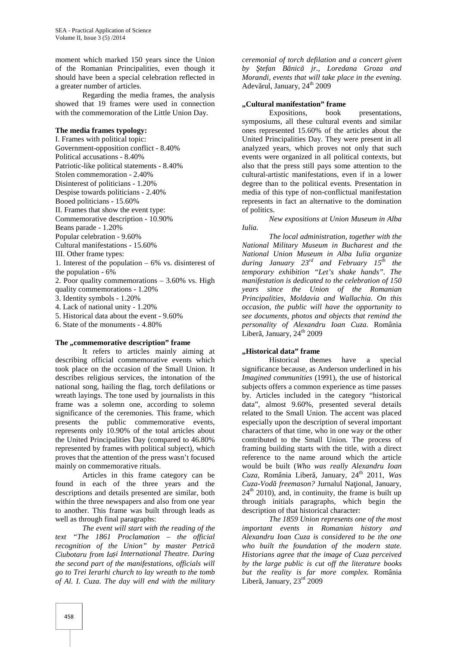moment which marked 150 years since the Union of the Romanian Principalities, even though it should have been a special celebration reflected in a greater number of articles.

Regarding the media frames, the analysis showed that 19 frames were used in connection with the commemoration of the Little Union Day.

#### **The media frames typology:**

I. Frames with political topic: Government-opposition conflict - 8.40% Political accusations - 8.40% Patriotic-like political statements - 8.40% Stolen commemoration - 2.40% Disinterest of politicians - 1.20% Despise towards politicians - 2.40% Booed politicians - 15.60% II. Frames that show the event type: Commemorative description - 10.90% Beans parade - 1.20% Popular celebration - 9.60% Cultural manifestations - 15.60% III. Other frame types: 1. Interest of the population – 6% vs. disinterest of the population - 6% 2. Poor quality commemorations – 3.60% vs. High quality commemorations - 1.20% 3. Identity symbols - 1.20% 4. Lack of national unity - 1.20% 5. Historical data about the event - 9.60%

6. State of the monuments - 4.80%

#### The **..** commemorative description" frame

It refers to articles mainly aiming at describing official commemorative events which took place on the occasion of the Small Union. It describes religious services, the intonation of the national song, hailing the flag, torch defilations or wreath layings. The tone used by journalists in this frame was a solemn one, according to solemn significance of the ceremonies. This frame, which presents the public commemorative events, represents only 10.90% of the total articles about the United Principalities Day (compared to 46.80% represented by frames with political subject), which proves that the attention of the press wasn't focused mainly on commemorative rituals.

Articles in this frame category can be found in each of the three years and the descriptions and details presented are similar, both within the three newspapers and also from one year to another. This frame was built through leads as well as through final paragraphs:

*The event will start with the reading of the text "The 1861 Proclamation – the official recognition of the Union" by master Petric Ciubotaru from Iași International Theatre. During the second part of the manifestations, officials will go to Trei Ierarhi church to lay wreath to the tomb of Al. I. Cuza. The day will end with the military* *ceremonial of torch defilation and a concert given* by tefan B nic jr., Loredana Groza and *Morandi, events that will take place in the evening.* Adev rul, January, 24<sup>th</sup> 2009

## **"Cultural manifestation" frame**<br>Expositions, book

Expositions, book presentations, symposiums, all these cultural events and similar ones represented 15.60% of the articles about the United Principalities Day. They were present in all analyzed years, which proves not only that such events were organized in all political contexts, but also that the press still pays some attention to the cultural-artistic manifestations, even if in a lower degree than to the political events. Presentation in media of this type of non-conflictual manifestation represents in fact an alternative to the domination of politics.

*New expositions at Union Museum in Alba Iulia.*

*The local administration, together with the National Military Museum in Bucharest and the National Union Museum in Alba Iulia organize during January 23rd and February 15th the temporary exhibition "Let's shake hands". The manifestation is dedicated to the celebration of 150 years since the Union of the Romanian Principalities, Moldavia and Wallachia. On this occasion, the public will have the opportunity to see documents, photos and objects that remind the personality of Alexandru Ioan Cuza.* România Liber, January,  $24<sup>th</sup>$  2009

#### **"Historical data" frame**

Historical themes have a special significance because, as Anderson underlined in his *Imagined communities* (1991), the use of historical subjects offers a common experience as time passes by. Articles included in the category "historical data", almost 9.60%, presented several details related to the Small Union. The accent was placed especially upon the description of several important characters of that time, who in one way or the other contributed to the Small Union. The process of framing building starts with the title, with a direct reference to the name around which the article would be built (*Who was really Alexandru Ioan Cuza,* România Liberă, January, 24th 2011, *Was Cuza-Vod freemason?* Jurnalul Na ional, January,  $24<sup>th</sup>$  2010), and, in continuity, the frame is built up through initials paragraphs, which begin the description of that historical character:

*The 1859 Union represents one of the most important events in Romanian history and Alexandru Ioan Cuza is considered to be the one who built the foundation of the modern state. Historians agree that the image of Cuza perceived by the large public is cut off the literature books but the reality is far more complex.* România Liber, January,  $23<sup>rd</sup>$  2009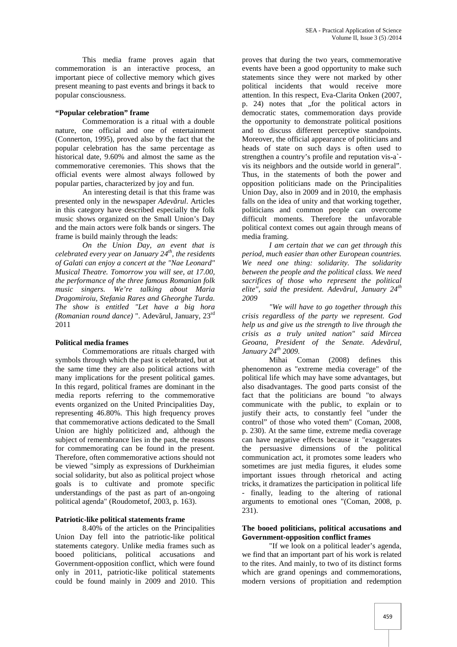This media frame proves again that commemoration is an interactive process, an important piece of collective memory which gives present meaning to past events and brings it back to popular consciousness.

#### **"Popular celebration" frame**

Commemoration is a ritual with a double nature, one official and one of entertainment (Connerton, 1995), proved also by the fact that the popular celebration has the same percentage as historical date, 9.60% and almost the same as the commemorative ceremonies. This shows that the official events were almost always followed by popular parties, characterized by joy and fun.

An interesting detail is that this frame was presented only in the newspaper *Adev rul*. Articles in this category have described especially the folk music shows organized on the Small Union's Day and the main actors were folk bands or singers. The frame is build mainly through the leads:

*On the Union Day, an event that is celebrated every year on January 24th, the residents of Galati can enjoy a concert at the "Nae Leonard" Musical Theatre. Tomorrow you will see, at 17.00, the performance of the three famous Romanian folk music singers. We're talking about Maria Dragomiroiu, Stefania Rares and Gheorghe Turda. The show is entitled "Let have a big hora (Romanian round dance)* ". Adev rul, January, 23<sup>rd</sup> 2011

#### **Political media frames**

Commemorations are rituals charged with symbols through which the past is celebrated, but at the same time they are also political actions with many implications for the present political games. In this regard, political frames are dominant in the media reports referring to the commemorative events organized on the United Principalities Day, representing 46.80%. This high frequency proves that commemorative actions dedicated to the Small Union are highly politicized and, although the subject of remembrance lies in the past, the reasons for commemorating can be found in the present. Therefore, often commemorative actions should not be viewed "simply as expressions of Durkheimian social solidarity, but also as political project whose goals is to cultivate and promote specific understandings of the past as part of an-ongoing political agenda" (Roudometof, 2003, p. 163).

#### **Patriotic-like political statements frame**

8.40% of the articles on the Principalities Union Day fell into the patriotic-like political statements category. Unlike media frames such as booed politicians, political accusations and Government-opposition conflict, which were found only in 2011, patriotic-like political statements could be found mainly in 2009 and 2010. This

proves that during the two years, commemorative events have been a good opportunity to make such statements since they were not marked by other political incidents that would receive more attention. In this respect, Eva-Clarita Onken (2007, p. 24) notes that "for the political actors in democratic states, commemoration days provide the opportunity to demonstrate political positions and to discuss different perceptive standpoints. Moreover, the official appearance of politicians and heads of state on such days is often used to strengthen a country's profile and reputation vis-a` vis its neighbors and the outside world in general". Thus, in the statements of both the power and opposition politicians made on the Principalities Union Day, also in 2009 and in 2010, the emphasis falls on the idea of unity and that working together, politicians and common people can overcome difficult moments. Therefore the unfavorable political context comes out again through means of media framing.

*I am certain that we can get through this period, much easier than other European countries. We need one thing: solidarity. The solidarity between the people and the political class. We need sacrifices of those who represent the political elite", said the president. Adev rul, January 24<sup>th</sup> 2009*

*"We will have to go together through this crisis regardless of the party we represent. God help us and give us the strength to live through the crisis as a truly united nation" said Mircea Geoana, President of the Senate, Adev rul, January 24th 2009.*

Mihai Coman (2008) defines this phenomenon as "extreme media coverage" of the political life which may have some advantages, but also disadvantages. The good parts consist of the fact that the politicians are bound "to always communicate with the public, to explain or to justify their acts, to constantly feel "under the control" of those who voted them" (Coman, 2008, p. 230). At the same time, extreme media coverage can have negative effects because it "exaggerates the persuasive dimensions of the political communication act, it promotes some leaders who sometimes are just media figures, it eludes some important issues through rhetorical and acting tricks, it dramatizes the participation in political life - finally, leading to the altering of rational arguments to emotional ones "(Coman, 2008, p.  $231$ ).

#### **The booed politicians, political accusations and Government-opposition conflict frames**

"If we look on a political leader's agenda, we find that an important part of his work is related to the rites. And mainly, to two of its distinct forms which are grand openings and commemorations, modern versions of propitiation and redemption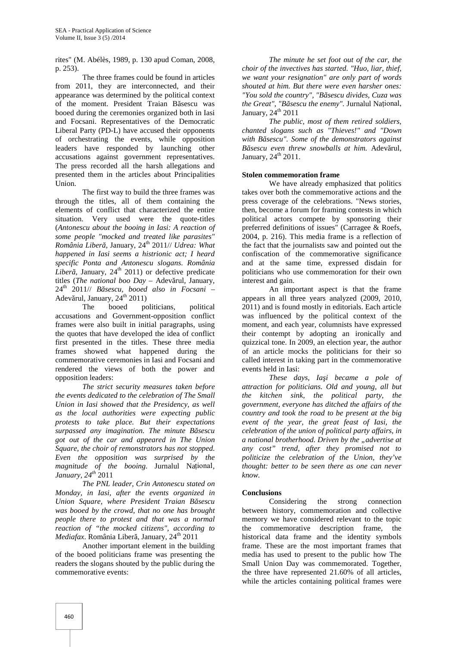rites" (M. Abélès, 1989, p. 130 apud Coman, 2008, p. 253).

The three frames could be found in articles from 2011, they are interconnected, and their appearance was determined by the political context of the moment. President Traian B sescu was booed during the ceremonies organized both in Iasi and Focsani. Representatives of the Democratic Liberal Party (PD-L) have accused their opponents of orchestrating the events, while opposition leaders have responded by launching other accusations against government representatives. The press recorded all the harsh allegations and presented them in the articles about Principalities Union.

The first way to build the three frames was through the titles, all of them containing the elements of conflict that characterized the entire situation. Very used were the quote-titles (*Antonescu about the booing in Iasi: A reaction of some people "mocked and treated like parasites" România Liber*, January, 24<sup>th</sup> 2011// *Udrea: What happened in Iasi seems a histrionic act; I heard specific Ponta and Antonescu slogans*. *România Liber*, January,  $24<sup>th</sup>$  2011) or defective predicate titles (*The national boo Day* - Adev rul, January, 24th 2011// *Băsescu, booed also in Focsani* – Adev rul, January,  $24<sup>th</sup> 2011$ )

The booed politicians, political accusations and Government-opposition conflict frames were also built in initial paragraphs, using the quotes that have developed the idea of conflict first presented in the titles. These three media frames showed what happened during the commemorative ceremonies in Iasi and Focsani and rendered the views of both the power and opposition leaders:

*The strict security measures taken before the events dedicated to the celebration of The Small Union in Iasi showed that the Presidency, as well as the local authorities were expecting public protests to take place. But their expectations surpassed any imagination. The minute B sescu got out of the car and appeared in The Union Square, the choir of remonstrators has not stopped. Even the opposition was surprised by the magnitude of the booing*. Jurnalul Național*, January, 24th* 2011

*The PNL leader, Crin Antonescu stated on Monday, in Iasi, after the events organized in Union Square, where President Traian B sescu was booed by the crowd, that no one has brought people there to protest and that was a normal reaction of "the mocked citizens", according to Mediafax*. România Liber, January, 24<sup>th</sup> 2011

Another important element in the building of the booed politicians frame was presenting the readers the slogans shouted by the public during the commemorative events:

*The minute he set foot out of the car, the choir of the invectives has started. "Huo, liar, thief, we want your resignation" are only part of words shouted at him. But there were even harsher ones:* "You sold the country", "B sescu divides, Cuza was the Great", "B sescu the enemy". Jurnalul Național, January,  $24<sup>th</sup> 2011$ 

*The public, most of them retired soldiers, chanted slogans such as "Thieves!" and "Down* with B sescu". Some of the demonstrators against *B* sescu even *threw snowballs at him.* Adev rul, January,  $24<sup>th</sup>$  2011.

#### **Stolen commemoration frame**

We have already emphasized that politics takes over both the commemorative actions and the press coverage of the celebrations. "News stories, then, become a forum for framing contests in which political actors compete by sponsoring their preferred definitions of issues" (Carragee & Roefs, 2004, p. 216). This media frame is a reflection of the fact that the journalists saw and pointed out the confiscation of the commemorative significance and at the same time, expressed disdain for politicians who use commemoration for their own interest and gain.

An important aspect is that the frame appears in all three years analyzed (2009, 2010, 2011) and is found mostly in editorials. Each article was influenced by the political context of the moment, and each year, columnists have expressed their contempt by adopting an ironically and quizzical tone. In 2009, an election year, the author of an article mocks the politicians for their so called interest in taking part in the commemorative events held in Iasi:

*These days, Ia i became a pole of attraction for politicians. Old and young, all but the kitchen sink, the political party, the government, everyone has ditched the affairs of the country and took the road to be present at the big event of the year, the great feast of Iasi, the celebration of the union of political party affairs, in a national brotherhood. Driven by the "advertise at any cost" trend, after they promised not to politicize the celebration of the Union, they've thought: better to be seen there as one can never know.*

#### **Conclusions**

Considering the strong connection between history, commemoration and collective memory we have considered relevant to the topic the commemorative description frame, the historical data frame and the identity symbols frame. These are the most important frames that media has used to present to the public how The Small Union Day was commemorated. Together, the three have represented 21.60% of all articles, while the articles containing political frames were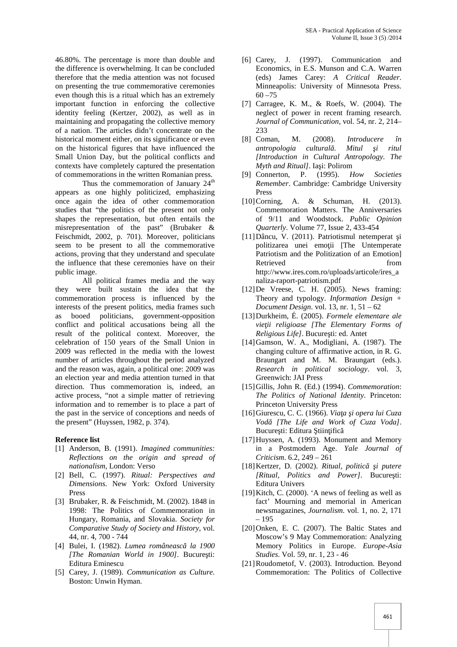46.80%. The percentage is more than double and the difference is overwhelming. It can be concluded therefore that the media attention was not focused on presenting the true commemorative ceremonies even though this is a ritual which has an extremely important function in enforcing the collective identity feeling (Kertzer, 2002), as well as in maintaining and propagating the collective memory of a nation. The articles didn't concentrate on the historical moment either, on its significance or even on the historical figures that have influenced the Small Union Day, but the political conflicts and contexts have completely captured the presentation of commemorations in the written Romanian press.

Thus the commemoration of January  $24<sup>th</sup>$ appears as one highly politicized, emphasizing once again the idea of other commemoration studies that "the politics of the present not only shapes the representation, but often entails the misrepresentation of the past" (Brubaker & Feischmidt, 2002, p. 701). Moreover, politicians seem to be present to all the commemorative actions, proving that they understand and speculate the influence that these ceremonies have on their public image.

All political frames media and the way they were built sustain the idea that the commemoration process is influenced by the interests of the present politics, media frames such as booed politicians, government-opposition conflict and political accusations being all the result of the political context. Moreover, the celebration of 150 years of the Small Union in 2009 was reflected in the media with the lowest number of articles throughout the period analyzed and the reason was, again, a political one: 2009 was an election year and media attention turned in that direction. Thus commemoration is, indeed, an active process, "not a simple matter of retrieving information and to remember is to place a part of the past in the service of conceptions and needs of the present" (Huyssen, 1982, p. 374).

#### **Reference list**

- [1] Anderson, B. (1991). *Imagined communities: Reflections on the origin and spread of nationalism*, London: Verso
- [2] Bell, C. (1997). *Ritual: Perspectives and Dimensions*. New York: Oxford University Press
- [3] Brubaker, R. & Feischmidt, M. (2002). 1848 in 1998: The Politics of Commemoration in Hungary, Romania, and Slovakia. *Society for Comparative Study of Society and History*, vol. 44, nr. 4, 700 - 744
- [4] Bulei, I. (1982). *Lumea româneasc la 1900 [The Romanian World in 1900]*. Bucure ti: Editura Eminescu
- [5] Carey, J. (1989). *Communication as Culture.* Boston: Unwin Hyman.
- [6] Carey, J. (1997). Communication and Economics, in E.S. Munson and C.A. Warren (eds) James Carey: *A Critical Reader*. Minneapolis: University of Minnesota Press.  $60 - 75$
- [7] Carragee, K. M., & Roefs, W. (2004). The neglect of power in recent framing research. *Journal of Communication*, vol. 54, nr. 2, 214– 233
- [8] Coman, M. (2008). *Introducere în antropologia cultural Mitul i ritul [Introduction in Cultural Antropology. The Myth and Ritual]*. Ia i: Polirom
- [9] Connerton, P. (1995). *How Societies Remember*. Cambridge: Cambridge University Press
- [10] Corning, A. & Schuman, H. (2013). Commemoration Matters. The Anniversaries of 9/11 and Woodstock. *Public Opinion Quarterly*. Volume 77, Issue 2, 433-454
- [11]Dâncu, V. (2011). Patriotismul netemperat i politizarea unei emo ii [The Untemperate Patriotism and the Politization of an Emotion] Retrieved from http://www.ires.com.ro/uploads/articole/ires\_a naliza-raport-patriotism.pdf
- [12]De Vreese, C. H. (2005). News framing: Theory and typology. *Information Design + Document Design*. vol. 13, nr. 1, 51 – 62
- [13]Durkheim, É. (2005). *Formele elementare ale* vie ii religioase [The Elementary Forms of *Religious Life]*. Bucure ti: ed. Antet
- [14]Gamson, W. A., Modigliani, A. (1987). The changing culture of affirmative action, in R. G. Braungart and M. M. Braungart (eds.). *Research in political sociology*. vol. 3, Greenwich: JAI Press
- [15]Gillis, John R. (Ed.) (1994). *Commemoration*: *The Politics of National Identity*. Princeton: Princeton University Press
- [16]Giurescu, C. C. (1966). *Viaţa şi opera lui Cuza Vodă [The Life and Work of Cuza Voda]*. Bucure ti: Editura tiin ific
- [17] Huyssen, A. (1993). Monument and Memory in a Postmodern Age. *Yale Journal of Criticism*. 6.2, 249 – 261
- [18] Kertzer, D. (2002). Ritual, politic i putere *[Ritual, Politics and Power]*. Bucure ti: Editura Univers
- [19] Kitch, C. (2000). 'A news of feeling as well as fact' Mourning and memorial in American newsmagazines, *Journalism*. vol. 1, no. 2, 171 – 195
- [20]Onken, E. C. (2007). The Baltic States and Moscow's 9 May Commemoration: Analyzing Memory Politics in Europe. *Europe-Asia Studies*. Vol. 59, nr. 1, 23 - 46
- [21]Roudometof, V. (2003). Introduction. Beyond Commemoration: The Politics of Collective